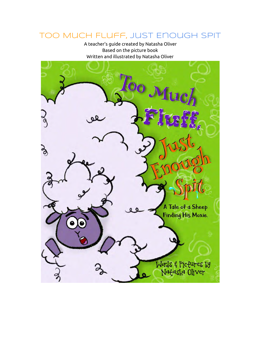## Too Much Fluff, Just Enough Spit

A teacher's guide created by Natasha Oliver Based on the picture book Written and illustrated by Natasha Oliver

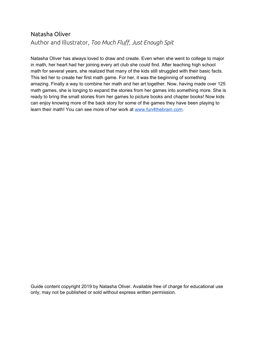## Natasha Oliver Author and Illustrator, *Too Much Fluff, Just Enough Spit*

Natasha Oliver has always loved to draw and create. Even when she went to college to major in math, her heart had her joining every art club she could find. After teaching high school math for several years, she realized that many of the kids still struggled with their basic facts. This led her to create her first math game. For her, it was the beginning of something amazing. Finally a way to combine her math and her art together. Now, having made over 125 math games, she is longing to expand the stories from her games into something more. She is ready to bring the small stories from her games to picture books and chapter books! Now kids can enjoy knowing more of the back story for some of the games they have been playing to learn their math! You can see more of her work at [www.fun4thebrain.com](http://www.fun4thebrain.com/).

Guide content copyright 2019 by Natasha Oliver. Available free of charge for educational use only; may not be published or sold without express written permission.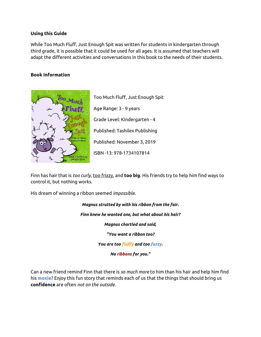#### **Using this Guide**

While Too Much Fluff, Just Enough Spit was written for students in kindergarten through third grade, it is possible that it could be used for all ages. It is assumed that teachers will adapt the different activities and conversations in this book to the needs of their students.

#### **Book Information**



Too Much Fluff, Just Enough Spit Age Range: 3 - 9 years Grade Level: Kindergarten - 4 Published: Tashilex Publishing Published: November 3, 2019 ISBN -13: 978-1734107814

Finn has hair that is *too curly*, too frizzy, and **too big**. His friends try to help him find ways to control it, but nothing works.

His dream of winning a ribbon seemed *impossible*.

*Magnus strutted by with his ribbon from the fair. Finn knew he wanted one, but what about his hair? Magnus chortled and said, "You want a ribbon too? You are too fluffy and too fuzzy. No ribbons for you."*

Can a new friend remind Finn that there is *so much more* to him than his hair and help him find his **moxie**? Enjoy this fun story that reminds each of us that the things that should bring us **confidence** are often *not on the outside*.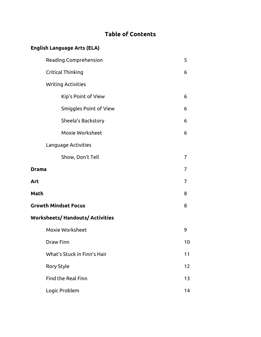## **Table of Contents**

## **English Language Arts (ELA)**

|                             | Reading Comprehension                   |                |  |
|-----------------------------|-----------------------------------------|----------------|--|
|                             | Critical Thinking                       | 6              |  |
|                             | <b>Writing Activities</b>               |                |  |
|                             | Kip's Point of View                     | 6              |  |
|                             | Smiggles Point of View                  | 6              |  |
|                             | Sheela's Backstory                      | 6              |  |
|                             | Moxie Worksheet                         | 6              |  |
|                             | Language Activities                     |                |  |
|                             | Show, Don't Tell                        | $\overline{7}$ |  |
| <b>Drama</b>                |                                         | 7              |  |
| Art                         |                                         | 7              |  |
| Math                        |                                         | 8              |  |
| <b>Growth Mindset Focus</b> |                                         |                |  |
|                             | <b>Worksheets/ Handouts/ Activities</b> |                |  |
|                             | Moxie Worksheet                         | 9              |  |
|                             | <b>Draw Finn</b>                        | 10             |  |
|                             | What's Stuck in Finn's Hair             | 11             |  |
|                             | Rory Style                              | 12             |  |
|                             | <b>Find the Real Finn</b>               | 13             |  |
|                             | Logic Problem                           | 14             |  |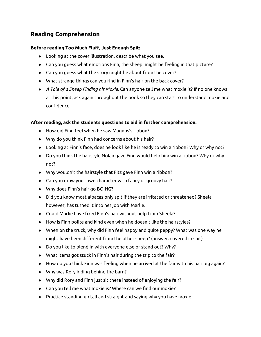## **Reading Comprehension**

#### **Before reading Too Much Fluff, Just Enough Spit:**

- Looking at the cover illustration, describe what you see.
- Can you guess what emotions Finn, the sheep, might be feeling in that picture?
- Can you guess what the story might be about from the cover?
- What strange things can you find in Finn's hair on the back cover?
- *A Tale of a Sheep Finding his Moxie*. Can anyone tell me what moxie is? If no one knows at this point, ask again throughout the book so they can start to understand moxie and confidence.

#### **After reading, ask the students questions to aid in further comprehension.**

- How did Finn feel when he saw Magnus's ribbon?
- Why do you think Finn had concerns about his hair?
- Looking at Finn's face, does he look like he is ready to win a ribbon? Why or why not?
- Do you think the hairstyle Nolan gave Finn would help him win a ribbon? Why or why not?
- Why wouldn't the hairstyle that Fitz gave Finn win a ribbon?
- Can you draw your own character with fancy or groovy hair?
- Why does Finn's hair go BOING?
- Did you know most alpacas only spit if they are irritated or threatened? Sheela however, has turned it into her job with Marlie.
- Could Marlie have fixed Finn's hair without help from Sheela?
- How is Finn polite and kind even when he doesn't like the hairstyles?
- When on the truck, why did Finn feel happy and quite peppy? What was one way he might have been different from the other sheep? (answer: covered in spit)
- Do you like to blend in with everyone else or stand out? Why?
- What items got stuck in Finn's hair during the trip to the fair?
- How do you think Finn was feeling when he arrived at the fair with his hair big again?
- Why was Rory hiding behind the barn?
- Why did Rory and Finn just sit there instead of enjoying the fair?
- Can you tell me what moxie is? Where can we find our moxie?
- Practice standing up tall and straight and saying why you have moxie.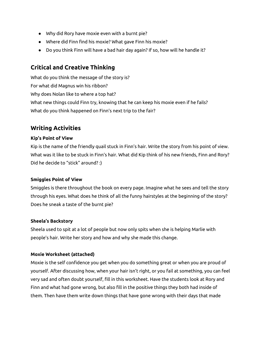- Why did Rory have moxie even with a burnt pie?
- Where did Finn find his moxie? What gave Finn his moxie?
- Do you think Finn will have a bad hair day again? If so, how will he handle it?

## **Critical and Creative Thinking**

What do you think the message of the story is? For what did Magnus win his ribbon? Why does Nolan like to where a top hat? What new things could Finn try, knowing that he can keep his moxie even if he fails? What do you think happened on Finn's next trip to the fair?

### **Writing Activities**

#### **Kip's Point of View**

Kip is the name of the friendly quail stuck in Finn's hair. Write the story from his point of view. What was it like to be stuck in Finn's hair. What did Kip think of his new friends, Finn and Rory? Did he decide to "stick" around? :)

#### **Smiggles Point of View**

Smiggles is there throughout the book on every page. Imagine what he sees and tell the story through his eyes. What does he think of all the funny hairstyles at the beginning of the story? Does he sneak a taste of the burnt pie?

#### **Sheela's Backstory**

Sheela used to spit at a lot of people but now only spits when she is helping Marlie with people's hair. Write her story and how and why she made this change.

#### **Moxie Worksheet (attached)**

Moxie is the self confidence you get when you do something great or when you are proud of yourself. After discussing how, when your hair isn't right, or you fail at something, you can feel very sad and often doubt yourself, fill in this worksheet. Have the students look at Rory and Finn and what had gone wrong, but also fill in the positive things they both had inside of them. Then have them write down things that have gone wrong with their days that made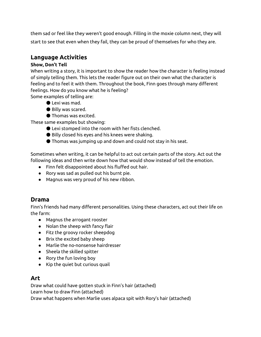them sad or feel like they weren't good enough. Filling in the moxie column next, they will start to see that even when they fail, they can be proud of themselves for who they are.

## **Language Activities**

#### **Show, Don't Tell**

When writing a story, it is important to show the reader how the character is feeling instead of simply telling them. This lets the reader figure out on their own what the character is feeling and to feel it with them. Throughout the book, Finn goes through many different feelings. How do you know what he is feeling?

Some examples of telling are:

- Lexi was mad.
- Billy was scared.
- Thomas was excited.

These same examples but showing:

- Lexi stomped into the room with her fists clenched.
- Billy closed his eyes and his knees were shaking.
- Thomas was jumping up and down and could not stay in his seat.

Sometimes when writing, it can be helpful to act out certain parts of the story. Act out the following ideas and then write down how that would show instead of tell the emotion.

- Finn felt disappointed about his fluffed out hair.
- Rory was sad as pulled out his burnt pie.
- Magnus was very proud of his new ribbon.

## **Drama**

Finn's friends had many different personalities. Using these characters, act out their life on the farm:

- Magnus the arrogant rooster
- Nolan the sheep with fancy flair
- Fitz the groovy rocker sheepdog
- Brix the excited baby sheep
- Marlie the no-nonsense hairdresser
- Sheela the skilled spitter
- Rory the fun loving boy
- Kip the quiet but curious quail

## **Art**

Draw what could have gotten stuck in Finn's hair (attached) Learn how to draw Finn (attached)

Draw what happens when Marlie uses alpaca spit with Rory's hair (attached)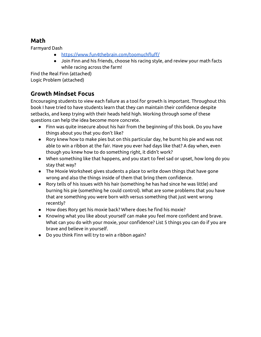## **Math**

Farmyard Dash

- <https://www.fun4thebrain.com/toomuchfluff/>
- Join Finn and his friends, choose his racing style, and review your math facts while racing across the farm!

Find the Real Finn (attached) Logic Problem (attached)

## **Growth Mindset Focus**

Encouraging students to view each failure as a tool for growth is important. Throughout this book I have tried to have students learn that they can maintain their confidence despite setbacks, and keep trying with their heads held high. Working through some of these questions can help the idea become more concrete.

- Finn was quite insecure about his hair from the beginning of this book. Do you have things about you that you don't like?
- Rory knew how to make pies but on this particular day, he burnt his pie and was not able to win a ribbon at the fair. Have you ever had days like that? A day when, even though you knew how to do something right, it didn't work?
- When something like that happens, and you start to feel sad or upset, how long do you stay that way?
- The Moxie Worksheet gives students a place to write down things that have gone wrong and also the things inside of them that bring them confidence.
- Rory tells of his issues with his hair (something he has had since he was little) and burning his pie (something he could control). What are some problems that you have that are something you were born with versus something that just went wrong recently?
- How does Rory get his moxie back? Where does he find his moxie?
- Knowing what you like about yourself can make you feel more confident and brave. What can you do with your moxie, your confidence? List 5 things you can do if you are brave and believe in yourself.
- Do you think Finn will try to win a ribbon again?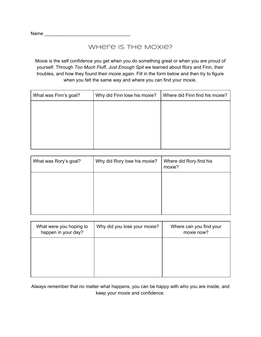Name \_\_\_\_\_\_\_\_\_\_\_\_\_\_\_\_\_\_\_\_\_\_\_\_\_\_\_\_\_\_\_\_\_

### Where is the Moxie?

Moxie is the self confidence you get when you do something great or when you are proud of yourself. Through *Too Much Fluff, Just Enough Spit* we learned about Rory and Finn, their troubles, and how they found their moxie again. Fill in the form below and then try to figure when you felt the same way and where you can find your moxie.

| What was Finn's goal? | Why did Finn lose his moxie? | Where did Finn find his moxie? |
|-----------------------|------------------------------|--------------------------------|
|                       |                              |                                |
|                       |                              |                                |
|                       |                              |                                |
|                       |                              |                                |
|                       |                              |                                |

| What was Rory's goal? | Why did Rory lose his moxie? | Where did Rory find his<br>moxie? |
|-----------------------|------------------------------|-----------------------------------|
|                       |                              |                                   |
|                       |                              |                                   |

| What were you hoping to<br>happen in your day? | Why did you lose your moxie? | Where can you find your<br>moxie now? |
|------------------------------------------------|------------------------------|---------------------------------------|
|                                                |                              |                                       |
|                                                |                              |                                       |
|                                                |                              |                                       |

Always remember that no matter what happens, you can be happy with who you are inside, and keep your moxie and confidence.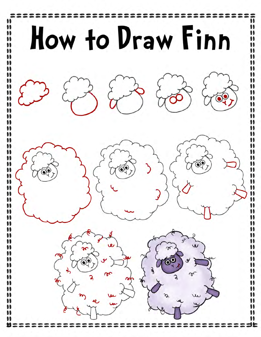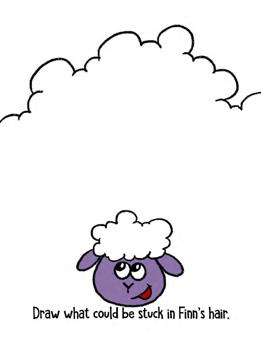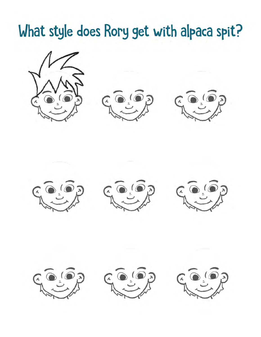## What style does Rory get with alpaca spit?

















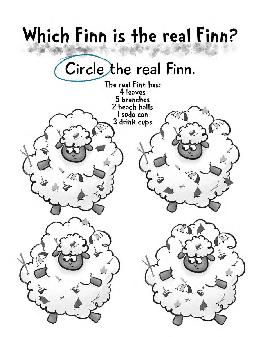# Which Finn is the real Finn?

## Circle the real Finn.